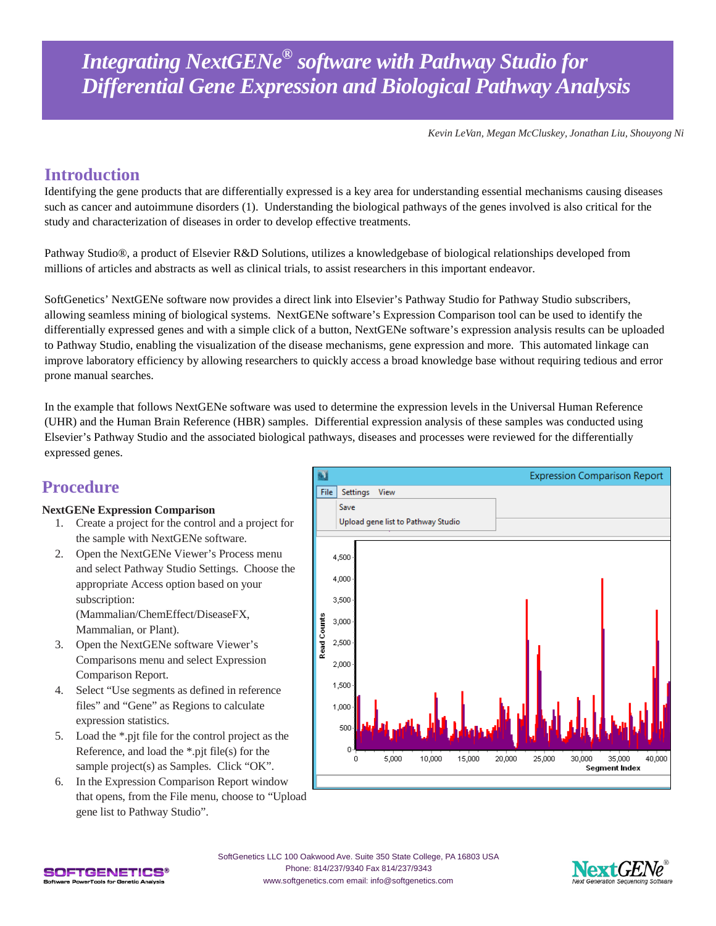*Kevin LeVan, Megan McCluskey, Jonathan Liu, Shouyong Ni*

# **Introduction**

Identifying the gene products that are differentially expressed is a key area for understanding essential mechanisms causing diseases such as cancer and autoimmune disorders (1). Understanding the biological pathways of the genes involved is also critical for the study and characterization of diseases in order to develop effective treatments.

Pathway Studio®, a product of Elsevier R&D Solutions, utilizes a knowledgebase of biological relationships developed from millions of articles and abstracts as well as clinical trials, to assist researchers in this important endeavor.

SoftGenetics' NextGENe software now provides a direct link into Elsevier's Pathway Studio for Pathway Studio subscribers, allowing seamless mining of biological systems. NextGENe software's Expression Comparison tool can be used to identify the differentially expressed genes and with a simple click of a button, NextGENe software's expression analysis results can be uploaded to Pathway Studio, enabling the visualization of the disease mechanisms, gene expression and more. This automated linkage can improve laboratory efficiency by allowing researchers to quickly access a broad knowledge base without requiring tedious and error prone manual searches.

In the example that follows NextGENe software was used to determine the expression levels in the Universal Human Reference (UHR) and the Human Brain Reference (HBR) samples. Differential expression analysis of these samples was conducted using Elsevier's Pathway Studio and the associated biological pathways, diseases and processes were reviewed for the differentially expressed genes.

# **Procedure**

### **NextGENe Expression Comparison**

- 1. Create a project for the control and a project for the sample with NextGENe software.
- 2. Open the NextGENe Viewer's Process menu and select Pathway Studio Settings. Choose the appropriate Access option based on your subscription: (Mammalian/ChemEffect/DiseaseFX, Mammalian, or Plant).
- 3. Open the NextGENe software Viewer's Comparisons menu and select Expression Comparison Report.
- 4. Select "Use segments as defined in reference files" and "Gene" as Regions to calculate expression statistics.
- 5. Load the \*.pjt file for the control project as the Reference, and load the \*.pjt file(s) for the sample project(s) as Samples. Click "OK".
- 6. In the Expression Comparison Report window that opens, from the File menu, choose to "Upload gene list to Pathway Studio".





SoftGenetics LLC 100 Oakwood Ave. Suite 350 State College, PA 16803 USA Phone: 814/237/9340 Fax 814/237/9343 [www.softgenetics.com email: info@softgenetics.com](http://www.softgenetics.com/)

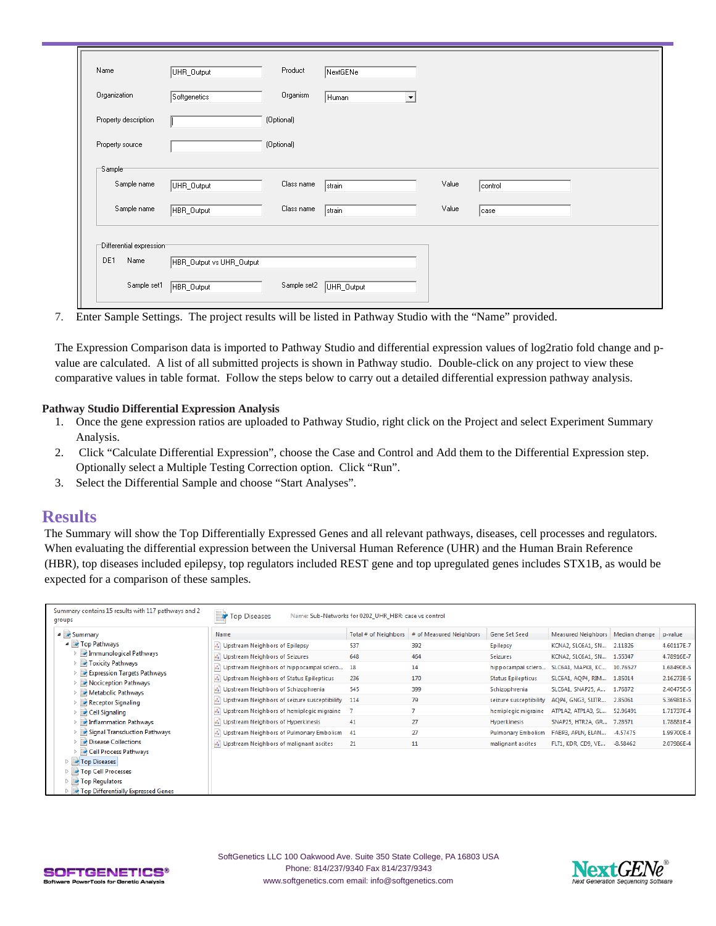| Name                    | UHR_Output               | Product     | NextGENe                      |       |         |  |
|-------------------------|--------------------------|-------------|-------------------------------|-------|---------|--|
| Organization            | Softgenetics             | Organism    | Human<br>$\blacktriangledown$ |       |         |  |
| Property description    |                          | (Optional)  |                               |       |         |  |
| Property source         |                          | (Optional)  |                               |       |         |  |
| $-$ Sample $-$          |                          |             |                               |       |         |  |
| Sample name             | UHR_Output               | Class name  | strain                        | Value | control |  |
| Sample name             | HBR_Output               | Class name  | strain                        | Value | case    |  |
| Differential expression |                          |             |                               |       |         |  |
| DE1<br>Name             | HBR_Output vs UHR_Output |             |                               |       |         |  |
| Sample set1             | HBR_Output               | Sample set2 | UHR_Output                    |       |         |  |

7. Enter Sample Settings. The project results will be listed in Pathway Studio with the "Name" provided.

The Expression Comparison data is imported to Pathway Studio and differential expression values of log2ratio fold change and pvalue are calculated. A list of all submitted projects is shown in Pathway studio. Double-click on any project to view these comparative values in table format. Follow the steps below to carry out a detailed differential expression pathway analysis.

#### **Pathway Studio Differential Expression Analysis**

- 1. Once the gene expression ratios are uploaded to Pathway Studio, right click on the Project and select Experiment Summary Analysis.
- 2. Click "Calculate Differential Expression", choose the Case and Control and Add them to the Differential Expression step. Optionally select a Multiple Testing Correction option. Click "Run".
- 3. Select the Differential Sample and choose "Start Analyses".

### **Results**

The Summary will show the Top Differentially Expressed Genes and all relevant pathways, diseases, cell processes and regulators. When evaluating the differential expression between the Universal Human Reference (UHR) and the Human Brain Reference (HBR), top diseases included epilepsy, top regulators included REST gene and top upregulated genes includes STX1B, as would be expected for a comparison of these samples.

| Summary contains 15 results with 117 pathways and 2<br>groups | <b>P</b> Top Diseases                          | Name: Sub-Networks for 0202_UHR_HBR: case vs control |                         |                           |                                    |          |            |
|---------------------------------------------------------------|------------------------------------------------|------------------------------------------------------|-------------------------|---------------------------|------------------------------------|----------|------------|
| ⊿ Summary                                                     | Name                                           | Total # of Neighbors                                 | # of Measured Neighbors | Gene Set Seed             | Measured Neighbors   Median change |          | p-value    |
| ▲ Top Pathways                                                | & Upstream Neighbors of Epilepsy               | 537                                                  | 392                     | Epilepsy                  | KCNA2, SLC6A1, SN 2.11826          |          | 4.60117E-7 |
| Immunological Pathways<br>$\triangleright$                    | & Upstream Neighbors of Seizures               | 648                                                  | 464                     | <b>Seizures</b>           | KCNA2, SLC6A1, SN 1.55347          |          | 4.78916E-7 |
| <b>D</b> Toxicity Pathways                                    | A Upstream Neighbors of hippocampal sclero     | 18                                                   | 14                      | hippocampal sclero        | SLC6A1, MAPK8, KC 10.76527         |          | 1.68490E-5 |
| Expression Targets Pathways<br>Nociception Pathways           | & Upstream Neighbors of Status Epilepticus     | 236                                                  | 170                     | <b>Status Epilepticus</b> | SLC6A1, AQP4, RIM 1.85014          |          | 2.16273E-5 |
| Metabolic Pathways<br>$\triangleright$                        | & Upstream Neighbors of Schizophrenia          | 545                                                  | 399                     | Schizophrenia             | SLC6A1, SNAP25, A 1.76872          |          | 2.40475E-5 |
| Receptor Signaling                                            | & Upstream Neighbors of seizure susceptibility | 114                                                  | 79                      | seizure susceptibility    | AQP4, GNG3, SLITR                  | 2.85061  | 5.36981E-5 |
| $\triangleright$ $\blacksquare$ Cell Signaling                | & Upstream Neighbors of hemiplegic migraine    | 7                                                    | $\overline{7}$          | hemiplegic migraine       | ATP1A2, ATP1A3, SL                 | 52,96491 | 1.71737E-4 |
| Inflammation Pathways                                         | & Upstream Neighbors of Hyperkinesis           | 41                                                   | 27                      | Hyperkinesis              | SNAP25, HTR2A, GR 7.28571          |          | 1.78881E-4 |
| <b>External Transduction Pathways</b>                         | No Upstream Neighbors of Pulmonary Embolism    | 41                                                   | 27                      | <b>Pulmonary Embolism</b> | FABP3, APLN, ELAN                  | -4.57475 | 1.99700E-4 |
| Disease Collections                                           | & Upstream Neighbors of malignant ascites      | 21                                                   | 11                      | malignant ascites         | FLT1, KDR, CD9, VE                 | -8.58462 | 2.07986E-4 |
| ▷ a Cell Process Pathways                                     |                                                |                                                      |                         |                           |                                    |          |            |
| Top Diseases                                                  |                                                |                                                      |                         |                           |                                    |          |            |
| Top Cell Processes<br>Top Regulators                          |                                                |                                                      |                         |                           |                                    |          |            |
| Top Differentially Expressed Genes                            |                                                |                                                      |                         |                           |                                    |          |            |
|                                                               |                                                |                                                      |                         |                           |                                    |          |            |